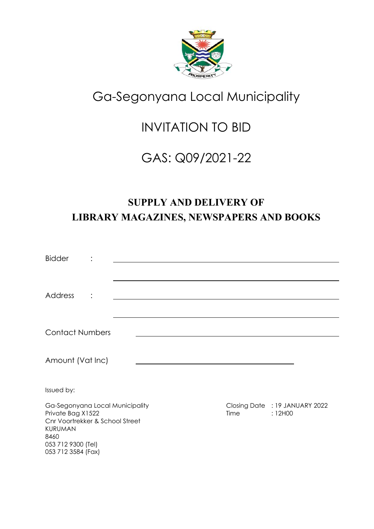

# Ga-Segonyana Local Municipality

# INVITATION TO BID

# GAS: Q09/2021-22

# **SUPPLY AND DELIVERY OF LIBRARY MAGAZINES, NEWSPAPERS AND BOOKS**

| <b>Bidder</b>                                                                                                                                          |   |  |             |                                           |
|--------------------------------------------------------------------------------------------------------------------------------------------------------|---|--|-------------|-------------------------------------------|
|                                                                                                                                                        |   |  |             |                                           |
| <b>Address</b>                                                                                                                                         | ٠ |  |             |                                           |
|                                                                                                                                                        |   |  |             |                                           |
| <b>Contact Numbers</b>                                                                                                                                 |   |  |             |                                           |
| Amount (Vat Inc)                                                                                                                                       |   |  |             |                                           |
| Issued by:                                                                                                                                             |   |  |             |                                           |
| Ga-Segonyana Local Municipality<br>Private Bag X1522<br>Cnr Voortrekker & School Street<br>KURUMAN<br>8460<br>053 712 9300 (Tel)<br>053 712 3584 (Fax) |   |  | <b>Time</b> | Closing Date : 19 JANUARY 2022<br>: 12H00 |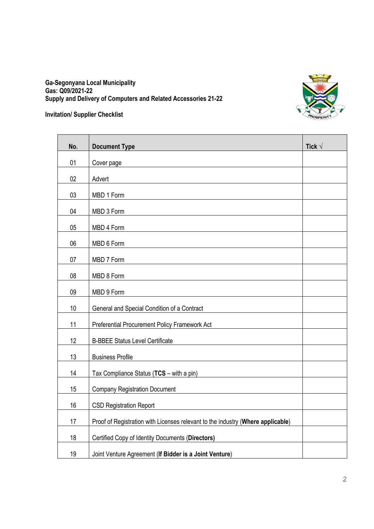

#### **Ga-Segonyana Local Municipality Gas: Q09/2021-22 Supply and Delivery of Computers and Related Accessories 21-22**

#### **Invitation/ Supplier Checklist**

| No. | <b>Document Type</b>                                                            | Tick $\sqrt$ |
|-----|---------------------------------------------------------------------------------|--------------|
| 01  | Cover page                                                                      |              |
| 02  | Advert                                                                          |              |
| 03  | MBD 1 Form                                                                      |              |
| 04  | MBD 3 Form                                                                      |              |
| 05  | MBD 4 Form                                                                      |              |
| 06  | MBD 6 Form                                                                      |              |
| 07  | MBD 7 Form                                                                      |              |
| 08  | MBD 8 Form                                                                      |              |
| 09  | MBD 9 Form                                                                      |              |
| 10  | General and Special Condition of a Contract                                     |              |
| 11  | Preferential Procurement Policy Framework Act                                   |              |
| 12  | <b>B-BBEE Status Level Certificate</b>                                          |              |
| 13  | <b>Business Profile</b>                                                         |              |
| 14  | Tax Compliance Status (TCS - with a pin)                                        |              |
| 15  | <b>Company Registration Document</b>                                            |              |
| 16  | <b>CSD Registration Report</b>                                                  |              |
| 17  | Proof of Registration with Licenses relevant to the industry (Where applicable) |              |
| 18  | Certified Copy of Identity Documents (Directors)                                |              |
| 19  | Joint Venture Agreement (If Bidder is a Joint Venture)                          |              |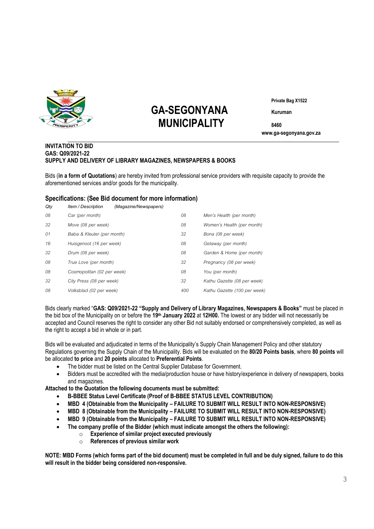

# **GA-SEGONYANA Kuruman MUNICIPALITY <sup>8460</sup>**

**Private Bag X1522**

 **www.ga-segonyana.gov.za**

#### **INVITATION TO BID GAS: Q09/2021-22 SUPPLY AND DELIVERY OF LIBRARY MAGAZINES, NEWSPAPERS & BOOKS**

Bids (**in a form of Quotations**) are hereby invited from professional service providers with requisite capacity to provide the aforementioned services and/or goods for the municipality.

#### **Specifications: (See Bid document for more information)**

| Qty | Item / Description         | (Magazine/Newspapers) |     |                              |
|-----|----------------------------|-----------------------|-----|------------------------------|
| 08  | Car (per month)            |                       | 08  | Men's Health (per month)     |
| 32  | Move (08 per week)         |                       | 08  | Women's Health (per month)   |
| 01  | Baba & Kleuter (per month) |                       | 32  | Bona (08 per week)           |
| 16  | Huisgenoot (16 per week)   |                       | 08  | Getaway (per month)          |
| 32  | Drum (08 per week)         |                       | 08  | Garden & Home (per month)    |
| 08  | True Love (per month)      |                       | 32  | Pregnancy (08 per week)      |
| 08  | Cosmopolitan (02 per week) |                       | 08  | You (per month)              |
| 32  | City Press (08 per week)   |                       | 32  | Kathu Gazette (08 per week)  |
| 08  | Volksblad (02 per week)    |                       | 400 | Kathu Gazette (100 per week) |

Bids clearly marked "**GAS: Q09/2021-22 "Supply and Delivery of Library Magazines, Newspapers & Books"** must be placed in the bid box of the Municipality on or before the **19th January 2022** at **12H00.** The lowest or any bidder will not necessarily be accepted and Council reserves the right to consider any other Bid not suitably endorsed or comprehensively completed, as well as the right to accept a bid in whole or in part.

Bids will be evaluated and adjudicated in terms of the Municipality's Supply Chain Management Policy and other statutory Regulations governing the Supply Chain of the Municipality. Bids will be evaluated on the **80/20 Points basis**, where **80 points** will be allocated **to price** and **20 points** allocated to **Preferential Points**.

- The bidder must be listed on the Central Supplier Database for Government.
- Bidders must be accredited with the media/production house or have history/experience in delivery of newspapers, books and magazines.

**Attached to the Quotation the following documents must be submitted:**

- **B-BBEE Status Level Certificate (Proof of B-BBEE STATUS LEVEL CONTRIBUTION)**
- **MBD 4 (Obtainable from the Municipality – FAILURE TO SUBMIT WILL RESULT INTO NON-RESPONSIVE)**
- **MBD 8 (Obtainable from the Municipality – FAILURE TO SUBMIT WILL RESULT INTO NON-RESPONSIVE)**
- **MBD 9 (Obtainable from the Municipality – FAILURE TO SUBMIT WILL RESULT INTO NON-RESPONSIVE)**
- **The company profile of the Bidder (which must indicate amongst the others the following):**
	- o **Experience of similar project executed previously**
	- o **References of previous similar work**

**NOTE: MBD Forms (which forms part of the bid document) must be completed in full and be duly signed, failure to do this will result in the bidder being considered non-responsive.**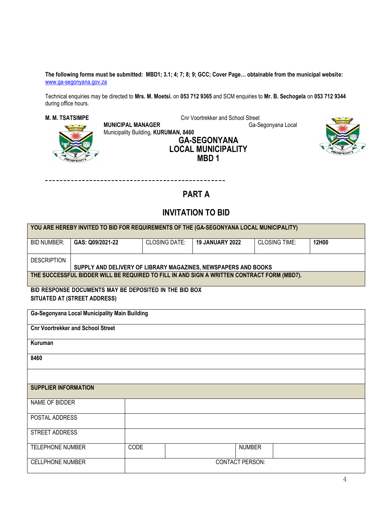**The following forms must be submitted: MBD1; 3.1; 4; 7; 8; 9; GCC; Cover Page… obtainable from the municipal website:**  [www.ga-segonyana.gov.za](http://www.ga-segonyana.gov.za/)

Technical enquiries may be directed to **Mrs. M. Moetsi.** on **053 712 9365** and SCM enquiries to **Mr. B. Sechogela** on **053 712 9344**  during office hours.

**M. M. TSATSIMPE**<br>**MUNICIPAL MANAGER** Cnr Voortrekker and School Street<br>Ga-Segonyana Local

**MUNICIPAL MANAGER** Municipality Building, **KURUMAN, 8460 GA-SEGONYANA** 





 $- - -$ 

### **PART A**

#### **INVITATION TO BID**

| YOU ARE HEREBY INVITED TO BID FOR REQUIREMENTS OF THE (GA-SEGONYANA LOCAL MUNICIPALITY) |                                                                                            |                      |                        |                      |       |  |  |
|-----------------------------------------------------------------------------------------|--------------------------------------------------------------------------------------------|----------------------|------------------------|----------------------|-------|--|--|
| <b>BID NUMBER:</b>                                                                      | GAS: Q09/2021-22                                                                           | <b>CLOSING DATE:</b> | <b>19 JANUARY 2022</b> | <b>CLOSING TIME:</b> | 12H00 |  |  |
| <b>DESCRIPTION</b>                                                                      | SUPPLY AND DELIVERY OF LIBRARY MAGAZINES, NEWSPAPERS AND BOOKS                             |                      |                        |                      |       |  |  |
|                                                                                         | THE SUCCESSFUL BIDDER WILL BE REQUIRED TO FILL IN AND SIGN A WRITTEN CONTRACT FORM (MBD7). |                      |                        |                      |       |  |  |
|                                                                                         | BID RESPONSE DOCUMENTS MAY BE DEPOSITED IN THE BID BOX                                     |                      |                        |                      |       |  |  |
|                                                                                         | SITUATED AT (STREET ADDRESS)                                                               |                      |                        |                      |       |  |  |
|                                                                                         | Ga-Segonyana Local Municipality Main Building                                              |                      |                        |                      |       |  |  |
|                                                                                         | <b>Cnr Voortrekker and School Street</b>                                                   |                      |                        |                      |       |  |  |
| Kuruman                                                                                 |                                                                                            |                      |                        |                      |       |  |  |
| 8460                                                                                    |                                                                                            |                      |                        |                      |       |  |  |
|                                                                                         |                                                                                            |                      |                        |                      |       |  |  |
| <b>SUPPLIER INFORMATION</b>                                                             |                                                                                            |                      |                        |                      |       |  |  |
| NAME OF BIDDER                                                                          |                                                                                            |                      |                        |                      |       |  |  |
| POSTAL ADDRESS                                                                          |                                                                                            |                      |                        |                      |       |  |  |
| STREET ADDRESS                                                                          |                                                                                            |                      |                        |                      |       |  |  |
| <b>TELEPHONE NUMBER</b>                                                                 | CODE                                                                                       |                      | <b>NUMBER</b>          |                      |       |  |  |
| <b>CONTACT PERSON:</b><br><b>CELLPHONE NUMBER</b>                                       |                                                                                            |                      |                        |                      |       |  |  |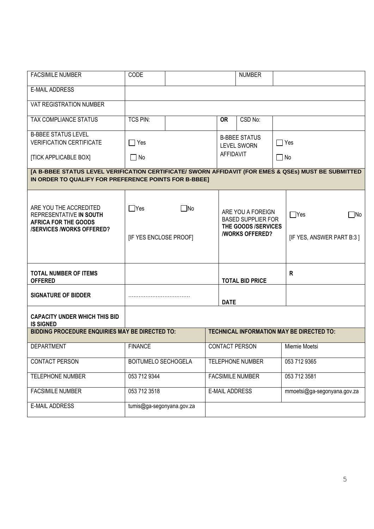| <b>FACSIMILE NUMBER</b>                                                                                                                                       | CODE                                                         |                       | <b>NUMBER</b>                                                                                         |              |                                                      |
|---------------------------------------------------------------------------------------------------------------------------------------------------------------|--------------------------------------------------------------|-----------------------|-------------------------------------------------------------------------------------------------------|--------------|------------------------------------------------------|
| <b>E-MAIL ADDRESS</b>                                                                                                                                         |                                                              |                       |                                                                                                       |              |                                                      |
| VAT REGISTRATION NUMBER                                                                                                                                       |                                                              |                       |                                                                                                       |              |                                                      |
| TAX COMPLIANCE STATUS                                                                                                                                         | <b>TCS PIN:</b>                                              | <b>OR</b>             | CSD No:                                                                                               |              |                                                      |
| <b>B-BBEE STATUS LEVEL</b><br><b>VERIFICATION CERTIFICATE</b>                                                                                                 | $\sqsupset$ Yes                                              |                       | <b>B-BBEE STATUS</b><br><b>LEVEL SWORN</b>                                                            | $\Box$ Yes   |                                                      |
| [TICK APPLICABLE BOX]                                                                                                                                         | $\Box$ No                                                    | AFFIDAVIT             |                                                                                                       | $\square$ No |                                                      |
| [A B-BBEE STATUS LEVEL VERIFICATION CERTIFICATE/ SWORN AFFIDAVIT (FOR EMES & QSEs) MUST BE SUBMITTED<br>IN ORDER TO QUALIFY FOR PREFERENCE POINTS FOR B-BBEE] |                                                              |                       |                                                                                                       |              |                                                      |
| ARE YOU THE ACCREDITED<br>REPRESENTATIVE IN SOUTH<br><b>AFRICA FOR THE GOODS</b><br><b>/SERVICES /WORKS OFFERED?</b>                                          | $\bigcap$ Yes<br>$\blacksquare$ No<br>[IF YES ENCLOSE PROOF] |                       | ARE YOU A FOREIGN<br><b>BASED SUPPLIER FOR</b><br>THE GOODS /SERVICES<br><b><i>NORKS OFFERED?</i></b> |              | $\Box$ Yes<br>$\Box$ No<br>[IF YES, ANSWER PART B:3] |
| <b>TOTAL NUMBER OF ITEMS</b><br><b>OFFERED</b>                                                                                                                |                                                              |                       | <b>TOTAL BID PRICE</b>                                                                                |              | R                                                    |
| <b>SIGNATURE OF BIDDER</b>                                                                                                                                    |                                                              | <b>DATE</b>           |                                                                                                       |              |                                                      |
| <b>CAPACITY UNDER WHICH THIS BID</b><br><b>IS SIGNED</b>                                                                                                      |                                                              |                       |                                                                                                       |              |                                                      |
| <b>BIDDING PROCEDURE ENQUIRIES MAY BE DIRECTED TO:</b>                                                                                                        |                                                              |                       |                                                                                                       |              | TECHNICAL INFORMATION MAY BE DIRECTED TO:            |
| <b>DEPARTMENT</b>                                                                                                                                             | <b>FINANCE</b>                                               |                       | <b>CONTACT PERSON</b>                                                                                 |              | Miemie Moetsi                                        |
| <b>CONTACT PERSON</b>                                                                                                                                         | <b>BOITUMELO SECHOGELA</b>                                   |                       | <b>TELEPHONE NUMBER</b>                                                                               |              | 053 712 9365                                         |
| TELEPHONE NUMBER                                                                                                                                              | 053 712 9344                                                 |                       | <b>FACSIMILE NUMBER</b>                                                                               |              | 053 712 3581                                         |
| <b>FACSIMILE NUMBER</b>                                                                                                                                       | 053 712 3518                                                 | <b>E-MAIL ADDRESS</b> |                                                                                                       |              | mmoetsi@ga-segonyana.gov.za                          |
| E-MAIL ADDRESS                                                                                                                                                | tumis@ga-segonyana.gov.za                                    |                       |                                                                                                       |              |                                                      |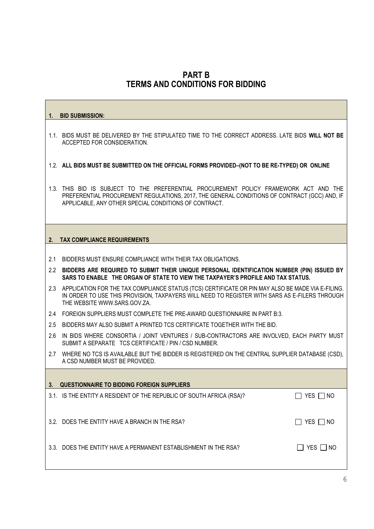### **PART B TERMS AND CONDITIONS FOR BIDDING**

# **1. BID SUBMISSION:** 1.1. BIDS MUST BE DELIVERED BY THE STIPULATED TIME TO THE CORRECT ADDRESS. LATE BIDS **WILL NOT BE** ACCEPTED FOR CONSIDERATION. 1.2. **ALL BIDS MUST BE SUBMITTED ON THE OFFICIAL FORMS PROVIDED–(NOT TO BE RE-TYPED) OR ONLINE** 1.3. THIS BID IS SUBJECT TO THE PREFERENTIAL PROCUREMENT POLICY FRAMEWORK ACT AND THE PREFERENTIAL PROCUREMENT REGULATIONS, 2017, THE GENERAL CONDITIONS OF CONTRACT (GCC) AND, IF APPLICABLE, ANY OTHER SPECIAL CONDITIONS OF CONTRACT. **2. TAX COMPLIANCE REQUIREMENTS** 2.1 BIDDERS MUST ENSURE COMPLIANCE WITH THEIR TAX OBLIGATIONS. 2.2 **BIDDERS ARE REQUIRED TO SUBMIT THEIR UNIQUE PERSONAL IDENTIFICATION NUMBER (PIN) ISSUED BY SARS TO ENABLE THE ORGAN OF STATE TO VIEW THE TAXPAYER'S PROFILE AND TAX STATUS.** 2.3 APPLICATION FOR THE TAX COMPLIANCE STATUS (TCS) CERTIFICATE OR PIN MAY ALSO BE MADE VIA E-FILING. IN ORDER TO USE THIS PROVISION, TAXPAYERS WILL NEED TO REGISTER WITH SARS AS E-FILERS THROUGH THE WEBSITE [WWW.SARS.GOV.ZA.](http://www.sars.gov.za/) 2.4 FOREIGN SUPPLIERS MUST COMPLETE THE PRE-AWARD QUESTIONNAIRE IN PART B:3. 2.5 BIDDERS MAY ALSO SUBMIT A PRINTED TCS CERTIFICATE TOGETHER WITH THE BID. 2.6 IN BIDS WHERE CONSORTIA / JOINT VENTURES / SUB-CONTRACTORS ARE INVOLVED, EACH PARTY MUST SUBMIT A SEPARATE TCS CERTIFICATE / PIN / CSD NUMBER. 2.7 WHERE NO TCS IS AVAILABLE BUT THE BIDDER IS REGISTERED ON THE CENTRAL SUPPLIER DATABASE (CSD), A CSD NUMBER MUST BE PROVIDED. **3. QUESTIONNAIRE TO BIDDING FOREIGN SUPPLIERS** 3.1. IS THE ENTITY A RESIDENT OF THE REPUBLIC OF SOUTH AFRICA (RSA)?  $\Box$  YES  $\Box$  NO 3.2. DOES THE ENTITY HAVE A BRANCH IN THE RSA?  $\Box$  YES  $\Box$  NO 3.3. DOES THE ENTITY HAVE A PERMANENT ESTABLISHMENT IN THE RSA?  $\Box$  YES  $\Box$  NO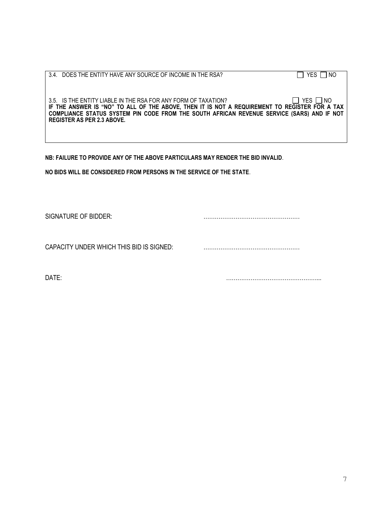| 3.4. DOES THE ENTITY HAVE ANY SOURCE OF INCOME IN THE RSA?                                    | I NO<br>YES I |
|-----------------------------------------------------------------------------------------------|---------------|
|                                                                                               |               |
|                                                                                               |               |
| 3.5. IS THE ENTITY LIABLE IN THE RSA FOR ANY FORM OF TAXATION?                                | YES  NO       |
| IF THE ANSWER IS "NO" TO ALL OF THE ABOVE, THEN IT IS NOT A REQUIREMENT TO REGISTER FOR A TAX |               |
| COMPLIANCE STATUS SYSTEM PIN CODE FROM THE SOUTH AFRICAN REVENUE SERVICE (SARS) AND IF NOT    |               |
| REGISTER AS PER 2.3 ABOVE.                                                                    |               |
|                                                                                               |               |
|                                                                                               |               |

**NB: FAILURE TO PROVIDE ANY OF THE ABOVE PARTICULARS MAY RENDER THE BID INVALID**.

**NO BIDS WILL BE CONSIDERED FROM PERSONS IN THE SERVICE OF THE STATE**.

SIGNATURE OF BIDDER: ……………………………………………

CAPACITY UNDER WHICH THIS BID IS SIGNED: ……………………………………………

DATE: …………………………………………...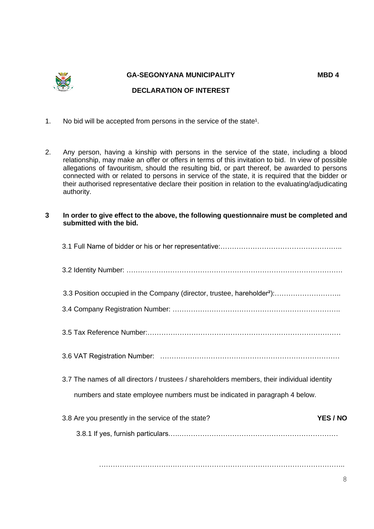

#### **GA-SEGONYANA MUNICIPALITY MBD 4**

#### **DECLARATION OF INTEREST**

- 1. No bid will be accepted from persons in the service of the state<sup>1</sup>.
- 2. Any person, having a kinship with persons in the service of the state, including a blood relationship, may make an offer or offers in terms of this invitation to bid. In view of possible allegations of favouritism, should the resulting bid, or part thereof, be awarded to persons connected with or related to persons in service of the state, it is required that the bidder or their authorised representative declare their position in relation to the evaluating/adjudicating authority.
- **3 In order to give effect to the above, the following questionnaire must be completed and submitted with the bid.**

| 3.3 Position occupied in the Company (director, trustee, hareholder <sup>2</sup> ):         |
|---------------------------------------------------------------------------------------------|
|                                                                                             |
|                                                                                             |
|                                                                                             |
| 3.7 The names of all directors / trustees / shareholders members, their individual identity |
| numbers and state employee numbers must be indicated in paragraph 4 below.                  |
| YES / NO<br>3.8 Are you presently in the service of the state?                              |
|                                                                                             |

……………………………………………………………………………………………..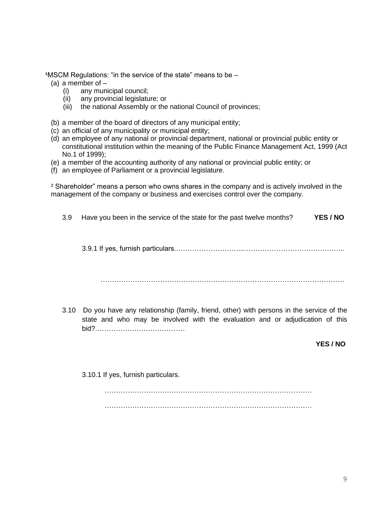**<sup>1</sup>MSCM Regulations: "in the service of the state" means to be –** 

- (a) a member of
	- (i) any municipal council;
	- (ii) any provincial legislature; or
	- (iii) the national Assembly or the national Council of provinces;
- (b) a member of the board of directors of any municipal entity;
- (c) an official of any municipality or municipal entity;
- (d) an employee of any national or provincial department, national or provincial public entity or constitutional institution within the meaning of the Public Finance Management Act, 1999 (Act No.1 of 1999);
- (e) a member of the accounting authority of any national or provincial public entity; or
- (f) an employee of Parliament or a provincial legislature.

² Shareholder" means a person who owns shares in the company and is actively involved in the management of the company or business and exercises control over the company.

- 3.9 Have you been in the service of the state for the past twelve months? **YES / NO** 3.9.1 If yes, furnish particulars.………………………...…………………………………….. …………………………………………………………………………………………….
- 3.10 Do you have any relationship (family, friend, other) with persons in the service of the state and who may be involved with the evaluation and or adjudication of this bid?…………………………………

**YES / NO**

3.10.1 If yes, furnish particulars.

 $\mathcal{L}^{(n)}$  $\mathcal{L}^{(n)}$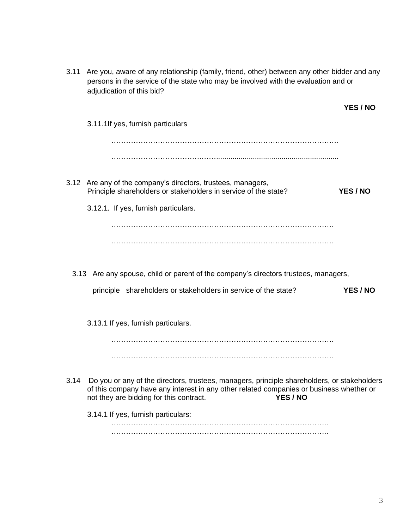| 3.11 | Are you, aware of any relationship (family, friend, other) between any other bidder and any<br>persons in the service of the state who may be involved with the evaluation and or<br>adjudication of this bid?                                |                 |
|------|-----------------------------------------------------------------------------------------------------------------------------------------------------------------------------------------------------------------------------------------------|-----------------|
|      |                                                                                                                                                                                                                                               | YES / NO        |
|      | 3.11.1If yes, furnish particulars                                                                                                                                                                                                             |                 |
|      |                                                                                                                                                                                                                                               |                 |
|      |                                                                                                                                                                                                                                               |                 |
|      | 3.12 Are any of the company's directors, trustees, managers,<br>Principle shareholders or stakeholders in service of the state?                                                                                                               | <b>YES / NO</b> |
|      | 3.12.1. If yes, furnish particulars.                                                                                                                                                                                                          |                 |
|      |                                                                                                                                                                                                                                               |                 |
|      |                                                                                                                                                                                                                                               |                 |
|      |                                                                                                                                                                                                                                               |                 |
|      | 3.13 Are any spouse, child or parent of the company's directors trustees, managers,                                                                                                                                                           |                 |
|      | principle shareholders or stakeholders in service of the state?                                                                                                                                                                               | YES / NO        |
|      | 3.13.1 If yes, furnish particulars.                                                                                                                                                                                                           |                 |
|      |                                                                                                                                                                                                                                               |                 |
|      |                                                                                                                                                                                                                                               |                 |
| 3.14 | Do you or any of the directors, trustees, managers, principle shareholders, or stakeholders<br>of this company have any interest in any other related companies or business whether or<br>YES / NO<br>not they are bidding for this contract. |                 |
|      | 3.14.1 If yes, furnish particulars:                                                                                                                                                                                                           |                 |
|      |                                                                                                                                                                                                                                               |                 |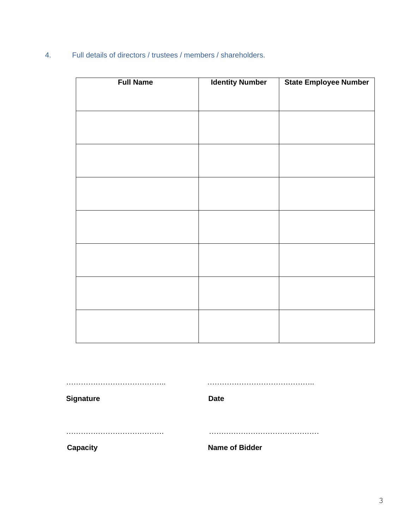4. Full details of directors / trustees / members / shareholders.

| <b>Full Name</b> | <b>Identity Number</b> | <b>State Employee Number</b> |
|------------------|------------------------|------------------------------|
|                  |                        |                              |
|                  |                        |                              |
|                  |                        |                              |
|                  |                        |                              |
|                  |                        |                              |
|                  |                        |                              |
|                  |                        |                              |
|                  |                        |                              |
|                  |                        |                              |
|                  |                        |                              |
|                  |                        |                              |
|                  |                        |                              |
|                  |                        |                              |
|                  |                        |                              |
|                  |                        |                              |
|                  |                        |                              |
|                  |                        |                              |
|                  |                        |                              |
|                  |                        |                              |
|                  |                        |                              |
|                  |                        |                              |

………………………………….. …………………………………….. Signature **Date** …………………………………. ……………………………………… **Capacity Capacity Name of Bidder**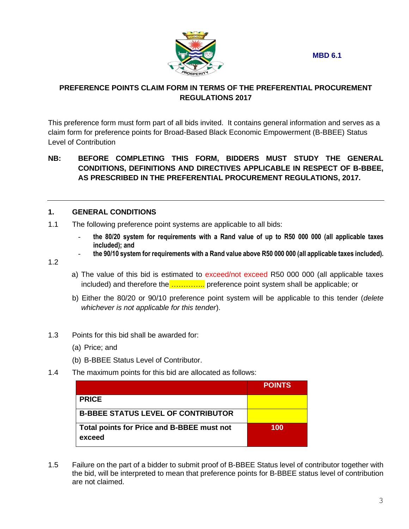**MBD 6.1**



#### **PREFERENCE POINTS CLAIM FORM IN TERMS OF THE PREFERENTIAL PROCUREMENT REGULATIONS 2017**

This preference form must form part of all bids invited. It contains general information and serves as a claim form for preference points for Broad-Based Black Economic Empowerment (B-BBEE) Status Level of Contribution

#### **NB: BEFORE COMPLETING THIS FORM, BIDDERS MUST STUDY THE GENERAL CONDITIONS, DEFINITIONS AND DIRECTIVES APPLICABLE IN RESPECT OF B-BBEE, AS PRESCRIBED IN THE PREFERENTIAL PROCUREMENT REGULATIONS, 2017.**

#### **1. GENERAL CONDITIONS**

- 1.1 The following preference point systems are applicable to all bids:
	- **the 80/20 system for requirements with a Rand value of up to R50 000 000 (all applicable taxes included); and**
	- **the 90/10 system for requirements with a Rand value above R50 000 000 (all applicable taxes included).**
- 1.2
- a) The value of this bid is estimated to exceed/not exceed R50 000 000 (all applicable taxes included) and therefore the …………... preference point system shall be applicable; or
- b) Either the 80/20 or 90/10 preference point system will be applicable to this tender (*delete whichever is not applicable for this tender*).
- 1.3 Points for this bid shall be awarded for:
	- (a) Price; and
	- (b) B-BBEE Status Level of Contributor.
- 1.4 The maximum points for this bid are allocated as follows:

|                                                      | <b>POINTS</b> |
|------------------------------------------------------|---------------|
| <b>PRICE</b>                                         |               |
| <b>B-BBEE STATUS LEVEL OF CONTRIBUTOR</b>            |               |
| Total points for Price and B-BBEE must not<br>exceed | 100           |

1.5 Failure on the part of a bidder to submit proof of B-BBEE Status level of contributor together with the bid, will be interpreted to mean that preference points for B-BBEE status level of contribution are not claimed.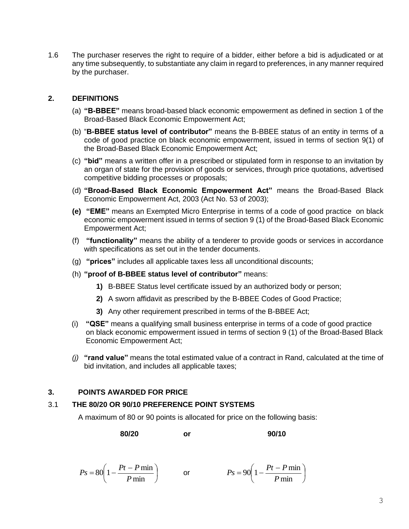1.6 The purchaser reserves the right to require of a bidder, either before a bid is adjudicated or at any time subsequently, to substantiate any claim in regard to preferences, in any manner required by the purchaser.

#### **2. DEFINITIONS**

- (a) **"B-BBEE"** means broad-based black economic empowerment as defined in section 1 of the Broad-Based Black Economic Empowerment Act;
- (b) "**B-BBEE status level of contributor"** means the B-BBEE status of an entity in terms of a code of good practice on black economic empowerment, issued in terms of section 9(1) of the Broad-Based Black Economic Empowerment Act;
- (c) **"bid"** means a written offer in a prescribed or stipulated form in response to an invitation by an organ of state for the provision of goods or services, through price quotations, advertised competitive bidding processes or proposals;
- (d) **"Broad-Based Black Economic Empowerment Act"** means the Broad-Based Black Economic Empowerment Act, 2003 (Act No. 53 of 2003);
- **(e) "EME"** means an Exempted Micro Enterprise in terms of a code of good practice on black economic empowerment issued in terms of section 9 (1) of the Broad-Based Black Economic Empowerment Act;
- (f) **"functionality"** means the ability of a tenderer to provide goods or services in accordance with specifications as set out in the tender documents.
- (g) **"prices"** includes all applicable taxes less all unconditional discounts;
- (h) **"proof of B-BBEE status level of contributor"** means:
	- **1)** B-BBEE Status level certificate issued by an authorized body or person;
	- **2)** A sworn affidavit as prescribed by the B-BBEE Codes of Good Practice;
	- **3)** Any other requirement prescribed in terms of the B-BBEE Act;
- (i) **"QSE"** means a qualifying small business enterprise in terms of a code of good practice on black economic empowerment issued in terms of section 9 (1) of the Broad-Based Black Economic Empowerment Act;
- *(j)* **"rand value"** means the total estimated value of a contract in Rand, calculated at the time of bid invitation, and includes all applicable taxes;

#### **3. POINTS AWARDED FOR PRICE**

#### 3.1 **THE 80/20 OR 90/10 PREFERENCE POINT SYSTEMS**

A maximum of 80 or 90 points is allocated for price on the following basis:

**80/20 or 90/10**

 $\overline{\phantom{a}}$ J  $\left(1-\frac{Pt-P\min}{R}\right)$  $\setminus$  $=80\left(1-\frac{Pt-}{\right)$ min  $80\left(1-\frac{Pt-P\min}{\sum_{i=1}^{n}H_i}\right)$ *P*  $P_s = 80\left(1 - \frac{Pt - P\min}{R}\right)$  or  $P_s = 90\left(1 - \frac{Pt - P\min}{R}\right)$ J  $\left(1-\frac{Pt-P\min}{R}\right)$  $\setminus$  $= 90 \left( 1 - \frac{Pt - }{F} \right)$ min  $90\left(1-\frac{Pt-P\min}{\sum_{i=1}^{n}H_i}\right)$ *P*  $P_s = 90 \left( 1 - \frac{Pt - P}{r} \right)$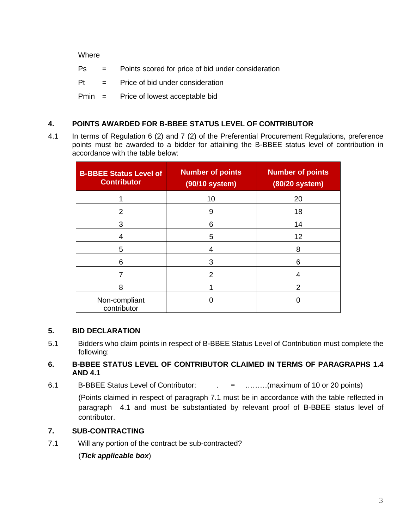**Where** 

| Ps | Points scored for price of bid under consideration |
|----|----------------------------------------------------|
|----|----------------------------------------------------|

 $Pt =$  Price of bid under consideration

Pmin = Price of lowest acceptable bid

#### **4. POINTS AWARDED FOR B-BBEE STATUS LEVEL OF CONTRIBUTOR**

4.1 In terms of Regulation 6 (2) and 7 (2) of the Preferential Procurement Regulations, preference points must be awarded to a bidder for attaining the B-BBEE status level of contribution in accordance with the table below:

| <b>B-BBEE Status Level of</b><br><b>Contributor</b> | <b>Number of points</b><br>(90/10 system) | <b>Number of points</b><br>(80/20 system) |
|-----------------------------------------------------|-------------------------------------------|-------------------------------------------|
|                                                     | 10                                        | 20                                        |
| 2                                                   | 9                                         | 18                                        |
| 3                                                   | 6                                         | 14                                        |
| 4                                                   | 5                                         | 12                                        |
| 5                                                   | 4                                         | 8                                         |
| 6                                                   | 3                                         | 6                                         |
|                                                     | 2                                         | 4                                         |
| 8                                                   |                                           | 2                                         |
| Non-compliant<br>contributor                        |                                           |                                           |

#### **5. BID DECLARATION**

5.1 Bidders who claim points in respect of B-BBEE Status Level of Contribution must complete the following:

#### **6. B-BBEE STATUS LEVEL OF CONTRIBUTOR CLAIMED IN TERMS OF PARAGRAPHS 1.4 AND 4.1**

6.1 B-BBEE Status Level of Contributor:  $\qquad \qquad = \qquad \qquad$  .........(maximum of 10 or 20 points)

(Points claimed in respect of paragraph 7.1 must be in accordance with the table reflected in paragraph 4.1 and must be substantiated by relevant proof of B-BBEE status level of contributor.

#### **7. SUB-CONTRACTING**

7.1 Will any portion of the contract be sub-contracted?

(*Tick applicable box*)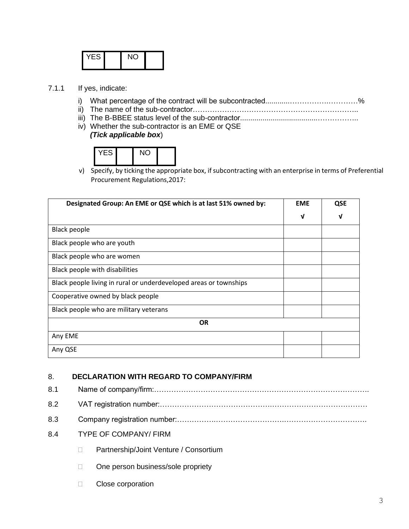| . –<br>$\overline{\phantom{a}}$ |  |  |
|---------------------------------|--|--|
|                                 |  |  |
|                                 |  |  |

- 7.1.1 If yes, indicate:
	- i) What percentage of the contract will be subcontracted............…………….…………%
	- ii) The name of the sub-contractor…………………………………………………………..
	- iii) The B-BBEE status level of the sub-contractor......................................……………..
	- iv) Whether the sub-contractor is an EME or QSE *(Tick applicable box*)

| ۰5 |  |  |
|----|--|--|
|    |  |  |

v) Specify, by ticking the appropriate box, if subcontracting with an enterprise in terms of Preferential Procurement Regulations,2017:

| Designated Group: An EME or QSE which is at last 51% owned by:    |   | QSE |
|-------------------------------------------------------------------|---|-----|
|                                                                   | ν | ν   |
| <b>Black people</b>                                               |   |     |
| Black people who are youth                                        |   |     |
| Black people who are women                                        |   |     |
| Black people with disabilities                                    |   |     |
| Black people living in rural or underdeveloped areas or townships |   |     |
| Cooperative owned by black people                                 |   |     |
| Black people who are military veterans                            |   |     |
| <b>OR</b>                                                         |   |     |
| Any EME                                                           |   |     |
| Any QSE                                                           |   |     |

#### 8. **DECLARATION WITH REGARD TO COMPANY/FIRM**

- 8.1 Name of company/firm:……………………………………………………………………………. 8.2 VAT registration number:……………………………………….………………………………… 8.3 Company registration number:…………….……………………….……………………………. 8.4 TYPE OF COMPANY/ FIRM D Partnership/Joint Venture / Consortium
	- □ One person business/sole propriety
	- **Close corporation**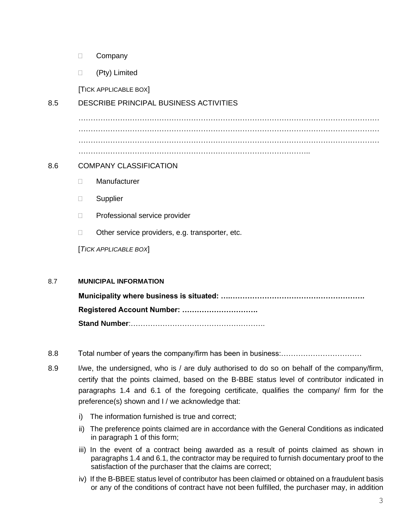- D Company
- (Pty) Limited

[TICK APPLICABLE BOX]

#### 8.5 DESCRIBE PRINCIPAL BUSINESS ACTIVITIES

…………………………………………………………………………………………………………… …………………………………………………………………………………………………………… …………………………………………………………………………………………………………… …………………………………………………………………………………..

#### 8.6 COMPANY CLASSIFICATION

- Manufacturer
- **Supplier**
- □ Professional service provider
- $\Box$  Other service providers, e.g. transporter, etc.

[*TICK APPLICABLE BOX*]

#### 8.7 **MUNICIPAL INFORMATION**

**Municipality where business is situated: ….………………………………………………. Registered Account Number: …………………………. Stand Number**:……………………………………………….

- 8.8 Total number of years the company/firm has been in business:……………………………
- 8.9 I/we, the undersigned, who is / are duly authorised to do so on behalf of the company/firm, certify that the points claimed, based on the B-BBE status level of contributor indicated in paragraphs 1.4 and 6.1 of the foregoing certificate, qualifies the company/ firm for the preference(s) shown and I / we acknowledge that:
	- i) The information furnished is true and correct;
	- ii) The preference points claimed are in accordance with the General Conditions as indicated in paragraph 1 of this form;
	- iii) In the event of a contract being awarded as a result of points claimed as shown in paragraphs 1.4 and 6.1, the contractor may be required to furnish documentary proof to the satisfaction of the purchaser that the claims are correct;
	- iv) If the B-BBEE status level of contributor has been claimed or obtained on a fraudulent basis or any of the conditions of contract have not been fulfilled, the purchaser may, in addition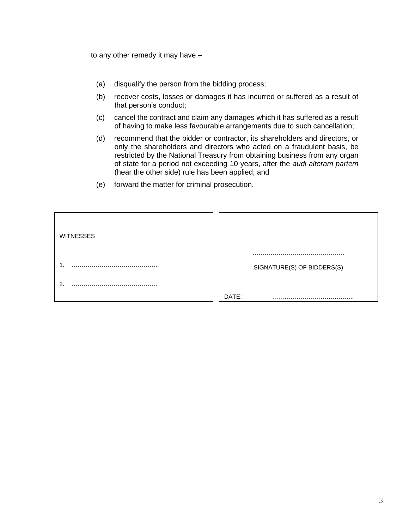to any other remedy it may have –

- (a) disqualify the person from the bidding process;
- (b) recover costs, losses or damages it has incurred or suffered as a result of that person's conduct;
- (c) cancel the contract and claim any damages which it has suffered as a result of having to make less favourable arrangements due to such cancellation;
- (d) recommend that the bidder or contractor, its shareholders and directors, or only the shareholders and directors who acted on a fraudulent basis, be restricted by the National Treasury from obtaining business from any organ of state for a period not exceeding 10 years, after the *audi alteram partem* (hear the other side) rule has been applied; and
- (e) forward the matter for criminal prosecution.

| <b>WITNESSES</b> |                            |
|------------------|----------------------------|
|                  |                            |
| .                | SIGNATURE(S) OF BIDDERS(S) |
| ົ<br>.           |                            |
|                  | DATE:                      |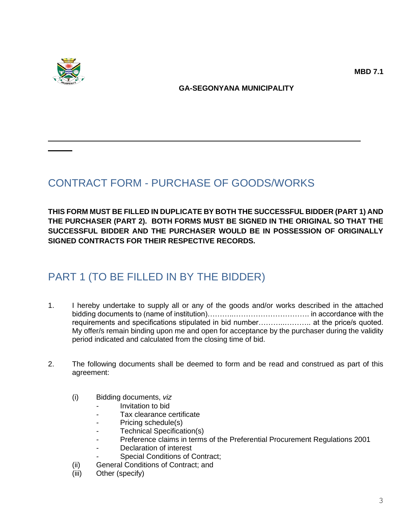

#### **GA-SEGONYANA MUNICIPALITY**

# CONTRACT FORM - PURCHASE OF GOODS/WORKS

**THIS FORM MUST BE FILLED IN DUPLICATE BY BOTH THE SUCCESSFUL BIDDER (PART 1) AND THE PURCHASER (PART 2). BOTH FORMS MUST BE SIGNED IN THE ORIGINAL SO THAT THE SUCCESSFUL BIDDER AND THE PURCHASER WOULD BE IN POSSESSION OF ORIGINALLY SIGNED CONTRACTS FOR THEIR RESPECTIVE RECORDS.**

### PART 1 (TO BE FILLED IN BY THE BIDDER)

- 1. I hereby undertake to supply all or any of the goods and/or works described in the attached bidding documents to (name of institution)………..…………………………. in accordance with the requirements and specifications stipulated in bid number......................... at the price/s quoted. My offer/s remain binding upon me and open for acceptance by the purchaser during the validity period indicated and calculated from the closing time of bid.
- 2. The following documents shall be deemed to form and be read and construed as part of this agreement:
	- (i) Bidding documents, *viz*
		- *-* Invitation to bid
		- *-* Tax clearance certificate
		- *-* Pricing schedule(s)
		- *-* Technical Specification(s)
		- *-* Preference claims in terms of the Preferential Procurement Regulations 2001
		- *-* Declaration of interest
		- *-* Special Conditions of Contract;
	- (ii) General Conditions of Contract; and
	- (iii) Other (specify)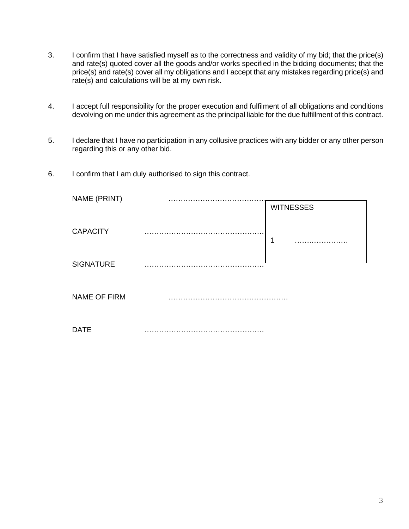- 3. I confirm that I have satisfied myself as to the correctness and validity of my bid; that the price(s) and rate(s) quoted cover all the goods and/or works specified in the bidding documents; that the price(s) and rate(s) cover all my obligations and I accept that any mistakes regarding price(s) and rate(s) and calculations will be at my own risk.
- 4. I accept full responsibility for the proper execution and fulfilment of all obligations and conditions devolving on me under this agreement as the principal liable for the due fulfillment of this contract.
- 5. I declare that I have no participation in any collusive practices with any bidder or any other person regarding this or any other bid.
- 6. I confirm that I am duly authorised to sign this contract.

| NAME (PRINT)        |                  |
|---------------------|------------------|
|                     | <b>WITNESSES</b> |
| <b>CAPACITY</b>     | 1                |
| <b>SIGNATURE</b>    |                  |
| <b>NAME OF FIRM</b> |                  |
| <b>DATE</b>         |                  |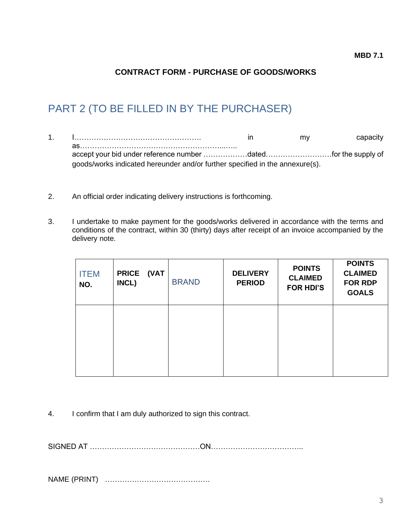### **CONTRACT FORM - PURCHASE OF GOODS/WORKS**

## PART 2 (TO BE FILLED IN BY THE PURCHASER)

- 1. I……………………………………………. in my capacity as…………………………………………………...….. accept your bid under reference number ………………dated………………………for the supply of goods/works indicated hereunder and/or further specified in the annexure(s).
- 2. An official order indicating delivery instructions is forthcoming.
- 3. I undertake to make payment for the goods/works delivered in accordance with the terms and conditions of the contract, within 30 (thirty) days after receipt of an invoice accompanied by the delivery note.

| <b>ITEM</b><br>NO. | (VAT<br><b>PRICE</b><br>INCL) | <b>BRAND</b> | <b>DELIVERY</b><br><b>PERIOD</b> | <b>POINTS</b><br><b>CLAIMED</b><br><b>FOR HDI'S</b> | <b>POINTS</b><br><b>CLAIMED</b><br><b>FOR RDP</b><br><b>GOALS</b> |
|--------------------|-------------------------------|--------------|----------------------------------|-----------------------------------------------------|-------------------------------------------------------------------|
|                    |                               |              |                                  |                                                     |                                                                   |

4. I confirm that I am duly authorized to sign this contract.

SIGNED AT ………………………………………ON………………………………..

NAME (PRINT) …………………………………….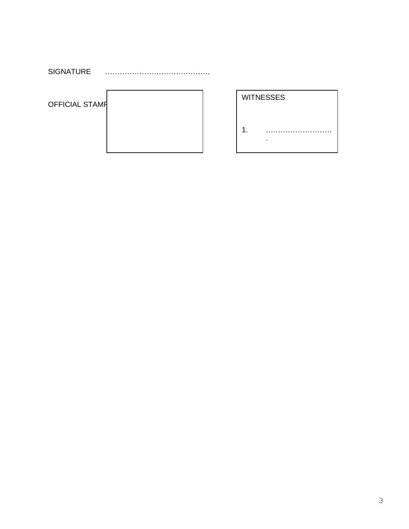SIGNATURE …………………………………….

OFFICIAL STAMP

| МĄ |  |  |  |
|----|--|--|--|
|    |  |  |  |
|    |  |  |  |

| <b>WITNESSES</b> |
|------------------|
|                  |

 $2.2.1\pm0.01$  m and  $2.1\pm0.01$  m and  $2.1\pm0.01$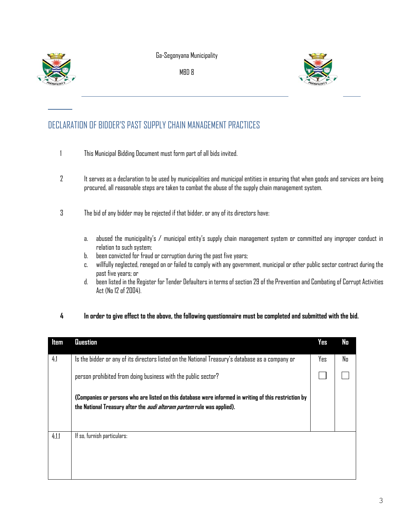

Ga-Segonyana Municipality

MBD 8



### DECLARATION OF BIDDER'S PAST SUPPLY CHAIN MANAGEMENT PRACTICES

- 1 This Municipal Bidding Document must form part of all bids invited.
- 2 It serves as a declaration to be used by municipalities and municipal entities in ensuring that when goods and services are being procured, all reasonable steps are taken to combat the abuse of the supply chain management system.
- 3 The bid of any bidder may be rejected if that bidder, or any of its directors have:
	- a. abused the municipality's / municipal entity's supply chain management system or committed any improper conduct in relation to such system;
	- b. been convicted for fraud or corruption during the past five years;
	- c. willfully neglected, reneged on or failed to comply with any government, municipal or other public sector contract during the past five years; or
	- d. been listed in the Register for Tender Defaulters in terms of section 29 of the Prevention and Combating of Corrupt Activities Act (No 12 of 2004).

#### **4 In order to give effect to the above, the following questionnaire must be completed and submitted with the bid.**

| Item  | Question                                                                                                                                                                               | <b>Yes</b> | No |
|-------|----------------------------------------------------------------------------------------------------------------------------------------------------------------------------------------|------------|----|
| 4.1   | Is the bidder or any of its directors listed on the National Treasury's database as a company or                                                                                       | Yes        | No |
|       | person prohibited from doing business with the public sector?                                                                                                                          |            |    |
|       | (Companies or persons who are listed on this database were informed in writing of this restriction by<br>the National Treasury after the <i>audi alteram partem</i> rule was applied). |            |    |
| 4.1.1 | If so, furnish particulars:                                                                                                                                                            |            |    |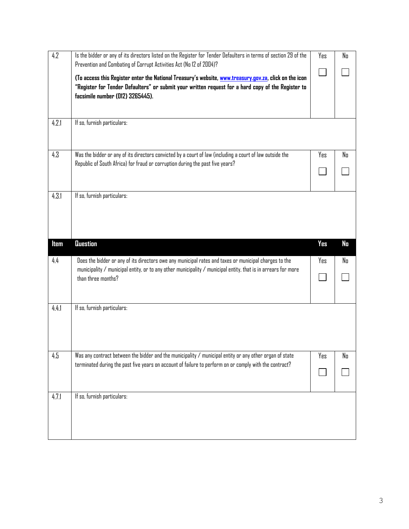| 4.2   | Is the bidder or any of its directors listed on the Register for Tender Defaulters in terms of section 29 of the<br>Prevention and Combating of Corrupt Activities Act (No 12 of 2004)?                                                                | Yes        | No |
|-------|--------------------------------------------------------------------------------------------------------------------------------------------------------------------------------------------------------------------------------------------------------|------------|----|
|       | (To access this Register enter the National Treasury's website, www.treasury.gov.za, click on the icon<br>"Register for Tender Defaulters" or submit your written request for a hard copy of the Register to<br>facsimile number (012) 3265445).       |            |    |
| 4.2.1 | If so, furnish particulars:                                                                                                                                                                                                                            |            |    |
| 4.3   | Was the bidder or any of its directors convicted by a court of law (including a court of law outside the<br>Republic of South Africa) for fraud or corruption during the past five years?                                                              | Yes        | No |
| 4.3.1 | If so, furnish particulars:                                                                                                                                                                                                                            |            |    |
| ltem  | Question                                                                                                                                                                                                                                               | <b>Yes</b> | No |
| 4.4   | Does the bidder or any of its directors owe any municipal rates and taxes or municipal charges to the<br>municipality $\ell$ municipal entity, or to any other municipality $\ell$ municipal entity, that is in arrears for more<br>than three months? | Yes        | No |
|       |                                                                                                                                                                                                                                                        |            |    |
| 4.4.1 | If so, furnish particulars:                                                                                                                                                                                                                            |            |    |
| 4.5   | Was any contract between the bidder and the municipality $\sqrt{ }$ municipal entity or any other organ of state<br>terminated during the past five years on account of failure to perform on or comply with the contract?                             | Yes        | No |
|       |                                                                                                                                                                                                                                                        |            |    |
| 4.7.1 | If so, furnish particulars:                                                                                                                                                                                                                            |            |    |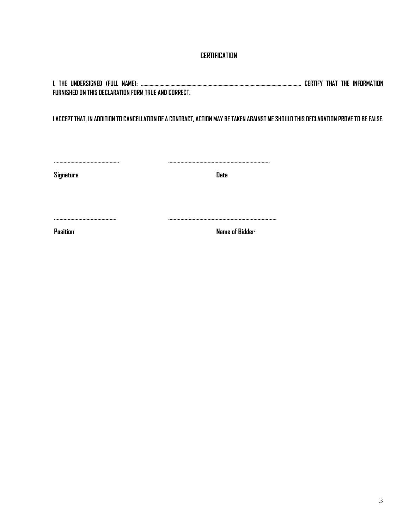#### **CERTIFICATION**

**I, THE UNDERSIGNED (FULL NAME): …………..……………………………..………………………...................................................... CERTIFY THAT THE INFORMATION FURNISHED ON THIS DECLARATION FORM TRUE AND CORRECT.**

**I ACCEPT THAT, IN ADDITION TO CANCELLATION OF A CONTRACT, ACTION MAY BE TAKEN AGAINST ME SHOULD THIS DECLARATION PROVE TO BE FALSE.**

**Signature Date**

**………………………………………... ………………………….............................................**

**………………………………………. …………………………..................................................**

**Position Name of Bidder**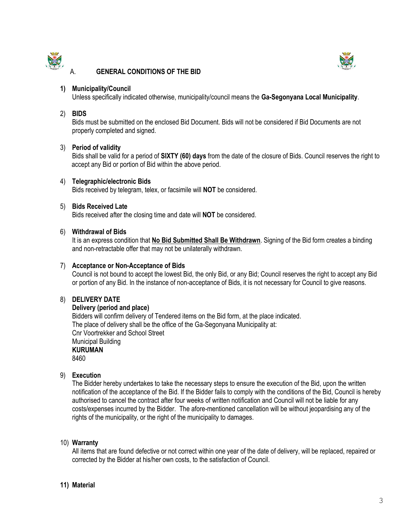

#### A. **GENERAL CONDITIONS OF THE BID**



#### **1) Municipality/Council**

Unless specifically indicated otherwise, municipality/council means the **Ga-Segonyana Local Municipality**.

#### 2) **BIDS**

Bids must be submitted on the enclosed Bid Document. Bids will not be considered if Bid Documents are not properly completed and signed.

#### 3) **Period of validity**

Bids shall be valid for a period of **SIXTY (60) days** from the date of the closure of Bids. Council reserves the right to accept any Bid or portion of Bid within the above period.

#### 4) **Telegraphic/electronic Bids**

Bids received by telegram, telex, or facsimile will **NOT** be considered.

#### 5) **Bids Received Late**

Bids received after the closing time and date will **NOT** be considered.

#### 6) **Withdrawal of Bids**

It is an express condition that **No Bid Submitted Shall Be Withdrawn**. Signing of the Bid form creates a binding and non-retractable offer that may not be unilaterally withdrawn.

#### 7) **Acceptance or Non-Acceptance of Bids**

Council is not bound to accept the lowest Bid, the only Bid, or any Bid; Council reserves the right to accept any Bid or portion of any Bid. In the instance of non-acceptance of Bids, it is not necessary for Council to give reasons.

#### 8) **DELIVERY DATE**

**Delivery (period and place)** Bidders will confirm delivery of Tendered items on the Bid form, at the place indicated. The place of delivery shall be the office of the Ga-Segonyana Municipality at: Cnr Voortrekker and School Street Municipal Building **KURUMAN** 8460

#### 9) **Execution**

The Bidder hereby undertakes to take the necessary steps to ensure the execution of the Bid, upon the written notification of the acceptance of the Bid. If the Bidder fails to comply with the conditions of the Bid, Council is hereby authorised to cancel the contract after four weeks of written notification and Council will not be liable for any costs/expenses incurred by the Bidder. The afore-mentioned cancellation will be without jeopardising any of the rights of the municipality, or the right of the municipality to damages.

#### 10) **Warranty**

All items that are found defective or not correct within one year of the date of delivery, will be replaced, repaired or corrected by the Bidder at his/her own costs, to the satisfaction of Council.

#### **11) Material**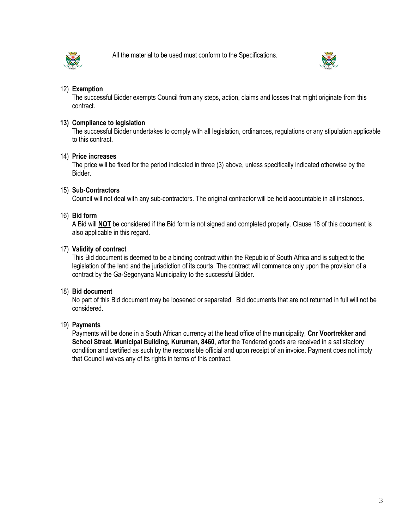

All the material to be used must conform to the Specifications.



#### 12) **Exemption**

The successful Bidder exempts Council from any steps, action, claims and losses that might originate from this contract.

#### **13) Compliance to legislation**

The successful Bidder undertakes to comply with all legislation, ordinances, regulations or any stipulation applicable to this contract.

#### 14) **Price increases**

The price will be fixed for the period indicated in three (3) above, unless specifically indicated otherwise by the Bidder.

#### 15) **Sub-Contractors**

Council will not deal with any sub-contractors. The original contractor will be held accountable in all instances.

#### 16) **Bid form**

A Bid will **NOT** be considered if the Bid form is not signed and completed properly. Clause 18 of this document is also applicable in this regard.

#### 17) **Validity of contract**

This Bid document is deemed to be a binding contract within the Republic of South Africa and is subject to the legislation of the land and the jurisdiction of its courts. The contract will commence only upon the provision of a contract by the Ga-Segonyana Municipality to the successful Bidder.

#### 18) **Bid document**

No part of this Bid document may be loosened or separated. Bid documents that are not returned in full will not be considered.

#### 19) **Payments**

Payments will be done in a South African currency at the head office of the municipality, **Cnr Voortrekker and School Street, Municipal Building, Kuruman, 8460**, after the Tendered goods are received in a satisfactory condition and certified as such by the responsible official and upon receipt of an invoice. Payment does not imply that Council waives any of its rights in terms of this contract.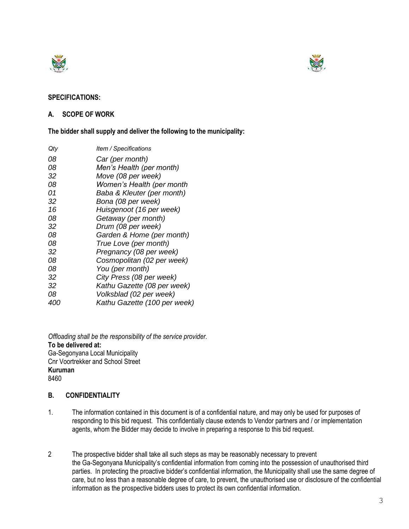



#### **SPECIFICATIONS:**

#### **A. SCOPE OF WORK**

**The bidder shall supply and deliver the following to the municipality:**

| Qty | Item / Specifications        |
|-----|------------------------------|
| 08  | Car (per month)              |
| 08  | Men's Health (per month)     |
| 32  | Move (08 per week)           |
| 08  | Women's Health (per month    |
| 01  | Baba & Kleuter (per month)   |
| 32  | Bona (08 per week)           |
| 16  | Huisgenoot (16 per week)     |
| 08  | Getaway (per month)          |
| 32  | Drum (08 per week)           |
| 08  | Garden & Home (per month)    |
| 08  | True Love (per month)        |
| 32  | Pregnancy (08 per week)      |
| 08  | Cosmopolitan (02 per week)   |
| 08  | You (per month)              |
| 32  | City Press (08 per week)     |
| 32  | Kathu Gazette (08 per week)  |
| 08  | Volksblad (02 per week)      |
| 400 | Kathu Gazette (100 per week) |

*Offloading shall be the responsibility of the service provider.* **To be delivered at:** Ga-Segonyana Local Municipality Cnr Voortrekker and School Street **Kuruman** 8460

#### **B. CONFIDENTIALITY**

- 1. The information contained in this document is of a confidential nature, and may only be used for purposes of responding to this bid request. This confidentially clause extends to Vendor partners and / or implementation agents, whom the Bidder may decide to involve in preparing a response to this bid request.
- 2 The prospective bidder shall take all such steps as may be reasonably necessary to prevent the Ga-Segonyana Municipality's confidential information from coming into the possession of unauthorised third parties. In protecting the proactive bidder's confidential information, the Municipality shall use the same degree of care, but no less than a reasonable degree of care, to prevent, the unauthorised use or disclosure of the confidential information as the prospective bidders uses to protect its own confidential information.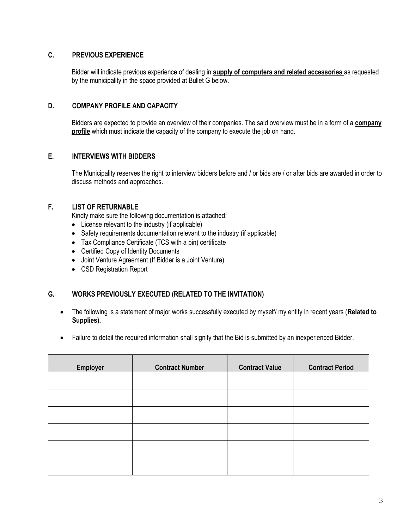#### **C. PREVIOUS EXPERIENCE**

Bidder will indicate previous experience of dealing in **supply of computers and related accessories** as requested by the municipality in the space provided at Bullet G below.

#### **D. COMPANY PROFILE AND CAPACITY**

Bidders are expected to provide an overview of their companies. The said overview must be in a form of a **company profile** which must indicate the capacity of the company to execute the job on hand.

#### **E. INTERVIEWS WITH BIDDERS**

The Municipality reserves the right to interview bidders before and / or bids are / or after bids are awarded in order to discuss methods and approaches.

#### **F. LIST OF RETURNABLE**

Kindly make sure the following documentation is attached:

- License relevant to the industry (if applicable)
- Safety requirements documentation relevant to the industry (if applicable)
- Tax Compliance Certificate (TCS with a pin) certificate
- Certified Copy of Identity Documents
- Joint Venture Agreement (If Bidder is a Joint Venture)
- CSD Registration Report

#### **G. WORKS PREVIOUSLY EXECUTED (RELATED TO THE INVITATION)**

- The following is a statement of major works successfully executed by myself/ my entity in recent years (**Related to Supplies).**
- Failure to detail the required information shall signify that the Bid is submitted by an inexperienced Bidder.

| <b>Employer</b> | <b>Contract Number</b> | <b>Contract Value</b> | <b>Contract Period</b> |
|-----------------|------------------------|-----------------------|------------------------|
|                 |                        |                       |                        |
|                 |                        |                       |                        |
|                 |                        |                       |                        |
|                 |                        |                       |                        |
|                 |                        |                       |                        |
|                 |                        |                       |                        |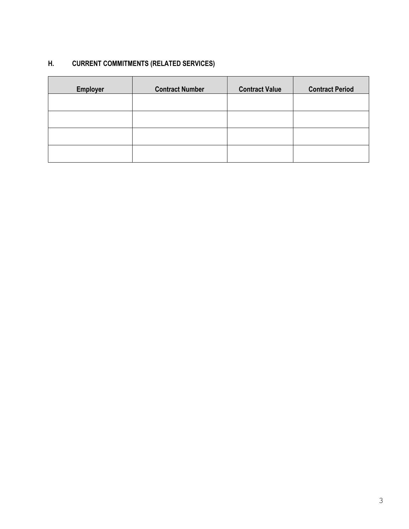### **H. CURRENT COMMITMENTS (RELATED SERVICES)**

| <b>Employer</b> | <b>Contract Number</b> | <b>Contract Value</b> | <b>Contract Period</b> |
|-----------------|------------------------|-----------------------|------------------------|
|                 |                        |                       |                        |
|                 |                        |                       |                        |
|                 |                        |                       |                        |
|                 |                        |                       |                        |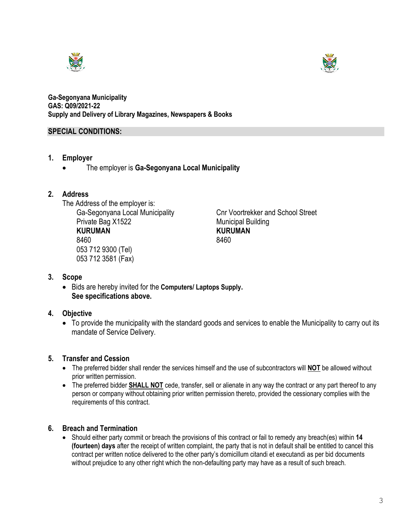



**Ga-Segonyana Municipality GAS: Q09/2021-22 Supply and Delivery of Library Magazines, Newspapers & Books**

#### **SPECIAL CONDITIONS:**

- **1. Employer**
	- The employer is **Ga-Segonyana Local Municipality**

#### **2. Address**

The Address of the employer is: Ga-Segonyana Local Municipality Cnr Voortrekker and School Street Private Bag X1522 Municipal Building **KURUMAN KURUMAN** 8460 8460 053 712 9300 (Tel) 053 712 3581 (Fax)

#### **3. Scope**

• Bids are hereby invited for the **Computers/ Laptops Supply. See specifications above.**

#### **4. Objective**

• To provide the municipality with the standard goods and services to enable the Municipality to carry out its mandate of Service Delivery.

#### **5. Transfer and Cession**

- The preferred bidder shall render the services himself and the use of subcontractors will **NOT** be allowed without prior written permission.
- The preferred bidder **SHALL NOT** cede, transfer, sell or alienate in any way the contract or any part thereof to any person or company without obtaining prior written permission thereto, provided the cessionary complies with the requirements of this contract.

#### **6. Breach and Termination**

• Should either party commit or breach the provisions of this contract or fail to remedy any breach(es) within **14 (fourteen) days** after the receipt of written complaint, the party that is not in default shall be entitled to cancel this contract per written notice delivered to the other party's domicillum citandi et executandi as per bid documents without prejudice to any other right which the non-defaulting party may have as a result of such breach.